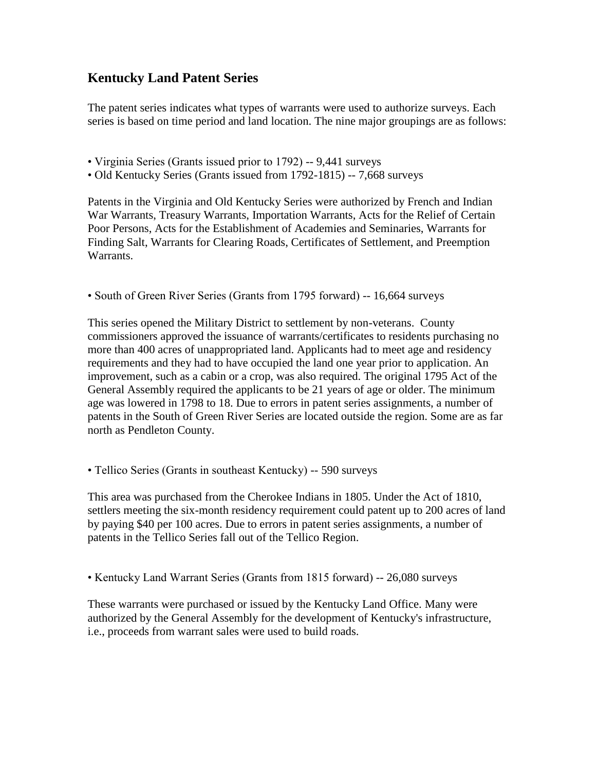## **Kentucky Land Patent Series**

The patent series indicates what types of warrants were used to authorize surveys. Each series is based on time period and land location. The nine major groupings are as follows:

• Virginia Series (Grants issued prior to 1792) -- 9,441 surveys

• Old Kentucky Series (Grants issued from 1792-1815) -- 7,668 surveys

Patents in the Virginia and Old Kentucky Series were authorized by French and Indian War Warrants, Treasury Warrants, Importation Warrants, Acts for the Relief of Certain Poor Persons, Acts for the Establishment of Academies and Seminaries, Warrants for Finding Salt, Warrants for Clearing Roads, Certificates of Settlement, and Preemption Warrants.

• South of Green River Series (Grants from 1795 forward) -- 16,664 surveys

This series opened the Military District to settlement by non-veterans. County commissioners approved the issuance of warrants/certificates to residents purchasing no more than 400 acres of unappropriated land. Applicants had to meet age and residency requirements and they had to have occupied the land one year prior to application. An improvement, such as a cabin or a crop, was also required. The original 1795 Act of the General Assembly required the applicants to be 21 years of age or older. The minimum age was lowered in 1798 to 18. Due to errors in patent series assignments, a number of patents in the South of Green River Series are located outside the region. Some are as far north as Pendleton County.

• Tellico Series (Grants in southeast Kentucky) -- 590 surveys

This area was purchased from the Cherokee Indians in 1805. Under the Act of 1810, settlers meeting the six-month residency requirement could patent up to 200 acres of land by paying \$40 per 100 acres. Due to errors in patent series assignments, a number of patents in the Tellico Series fall out of the Tellico Region.

• Kentucky Land Warrant Series (Grants from 1815 forward) -- 26,080 surveys

These warrants were purchased or issued by the Kentucky Land Office. Many were authorized by the General Assembly for the development of Kentucky's infrastructure, i.e., proceeds from warrant sales were used to build roads.